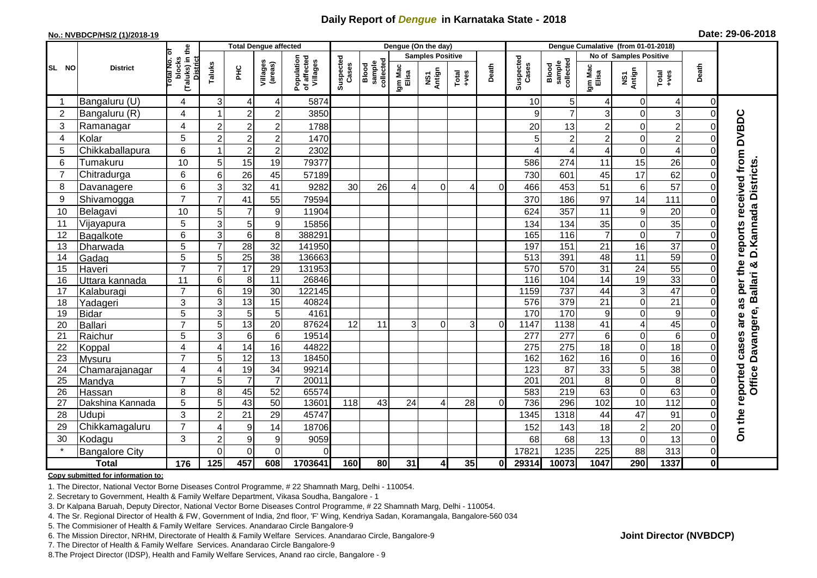## **Daily Report of** *Dengue* **in Karnataka State - 2018**

## **No.: NVBDCP/HS/2 (1)/2018-19 Date: 29-06-2018**

|                 | <b>District</b>          |                                                   | <b>Total Dengue affected</b> |                       |                       |                                       |                    |                              |                         | Dengue (On the day) |                                                                      |          |                    |                              |                  |                            |                  |                |                                               |
|-----------------|--------------------------|---------------------------------------------------|------------------------------|-----------------------|-----------------------|---------------------------------------|--------------------|------------------------------|-------------------------|---------------------|----------------------------------------------------------------------|----------|--------------------|------------------------------|------------------|----------------------------|------------------|----------------|-----------------------------------------------|
| SL NO           |                          | ō                                                 |                              |                       |                       |                                       |                    |                              | <b>Samples Positive</b> |                     |                                                                      |          |                    | No of Samples Positive       |                  |                            |                  |                |                                               |
|                 |                          | (Taluks) in the<br>District<br>blocks<br>otal No. | Taluks                       | <b>PHC</b>            | Villages<br>(areas)   | Population<br>of affected<br>Villages | Suspected<br>Cases | sample<br>collected<br>Blood | Igm Mac<br>Elisa        | NS1<br>Antign       | $\begin{array}{c}\n\text{Total} \\ \text{1} & \text{1}\n\end{array}$ | Death    | Suspected<br>Cases | sample<br>collected<br>Blood | Igm Mac<br>Elisa | NS1<br>Antign              | $Tota$<br>$+ves$ | Death          |                                               |
|                 | Bangaluru (U)            | 4                                                 | 3                            | $\overline{4}$        | 4                     | 5874                                  |                    |                              |                         |                     |                                                                      |          | 10                 | 5                            | 4                | 0                          | 4                | $\overline{0}$ |                                               |
| $\overline{2}$  | Bangaluru (R)            | 4                                                 |                              | $\overline{2}$        | $\overline{c}$        | 3850                                  |                    |                              |                         |                     |                                                                      |          |                    | $\overline{7}$               | 3                | $\Omega$                   | 3                | $\Omega$       |                                               |
| 3               | Ramanagar                | 4                                                 | $\overline{2}$               | $\overline{2}$        | $\mathbf 2$           | 1788                                  |                    |                              |                         |                     |                                                                      |          | 20                 | 13                           | 2                | $\mathbf 0$                | $\overline{2}$   |                | <b>DVBDC</b>                                  |
| $\overline{4}$  | Kolar                    | 5                                                 | $\overline{2}$               | $\overline{2}$        | $\overline{c}$        | 1470                                  |                    |                              |                         |                     |                                                                      |          |                    | $\overline{2}$               | $\overline{c}$   | $\mathbf 0$                | $\overline{2}$   |                |                                               |
| 5               | Chikkaballapura          | 6                                                 |                              | $\overline{2}$        | $\overline{c}$        | 2302                                  |                    |                              |                         |                     |                                                                      |          |                    | 4                            | 4                | $\mathbf 0$                | $\overline{4}$   |                |                                               |
| 6               | Tumakuru                 | 10                                                | 5                            | 15                    | 19                    | 79377                                 |                    |                              |                         |                     |                                                                      |          | 586                | 274                          | 11               | 15                         | 26               | 0              |                                               |
| $\overline{7}$  | Chitradurga              | 6                                                 | $6\phantom{1}6$              | 26                    | 45                    | 57189                                 |                    |                              |                         |                     |                                                                      |          | 730                | 601                          | 45               | 17                         | 62               | 0              |                                               |
| 8               | Davanagere               | 6                                                 | 3                            | 32                    | 41                    | 9282                                  | 30                 | 26                           | 4                       | $\Omega$            | 4                                                                    | $\Omega$ | 466                | 453                          | 51               | $6\phantom{1}6$            | 57               | 0              |                                               |
| 9               | Shivamogga               | $\overline{7}$                                    | $\overline{7}$               | 41                    | 55                    | 79594                                 |                    |                              |                         |                     |                                                                      |          | 370                | 186                          | 97               | 14                         | 111              | 0              |                                               |
| 10              | Belagavi                 | 10                                                | 5                            | $\overline{7}$        | 9                     | 11904                                 |                    |                              |                         |                     |                                                                      |          | 624                | 357                          | 11               | $\boldsymbol{9}$           | 20               | 0              | reports received from<br>D. Kannada Districts |
| 11              | Vijayapura               | 5                                                 | 3                            | $\sqrt{5}$            | 9                     | 15856                                 |                    |                              |                         |                     |                                                                      |          | 134                | 134                          | 35               | $\mathbf 0$                | 35               |                |                                               |
| 12              | Bagalkote                | 6                                                 | $\overline{3}$               | $\overline{6}$        | $\overline{8}$        | 388291                                |                    |                              |                         |                     |                                                                      |          | 165                | 116                          | $\overline{7}$   | $\overline{0}$             | $\overline{7}$   |                |                                               |
| 13              | Dharwada                 | 5                                                 | $\overline{7}$               | 28                    | $\overline{32}$       | 141950                                |                    |                              |                         |                     |                                                                      |          | 197                | 151                          | 21               | 16                         | $\overline{37}$  | $\Omega$       |                                               |
| 14              | Gadag                    | 5                                                 | 5                            | $\overline{25}$       | $\overline{38}$       | 136663                                |                    |                              |                         |                     |                                                                      |          | 513                | 391                          | 48               | $\overline{11}$            | 59               | $\Omega$       |                                               |
| 15              | Haveri                   | $\overline{7}$                                    | $\overline{7}$               | 17                    | $\overline{29}$       | 131953                                |                    |                              |                         |                     |                                                                      |          | 570                | 570                          | 31               | $\overline{24}$            | 55               | 0              | per the<br>allari &                           |
| 16              | Uttara kannada           | 11                                                | 6                            | 8                     | 11                    | 26846                                 |                    |                              |                         |                     |                                                                      |          | 116                | 104                          | 14               | $\overline{19}$            | 33               | 0              |                                               |
| 17              | Kalaburagi               | $\overline{7}$                                    | 6                            | 19                    | $\overline{30}$       | 122145                                |                    |                              |                         |                     |                                                                      |          | 1159               | 737                          | 44               | $\mathbf{3}$               | 47               | 0              |                                               |
| 18              | Yadageri                 | 3                                                 | 3                            | 13                    | 15                    | 40824                                 |                    |                              |                         |                     |                                                                      |          | 576                | 379                          | 21               | $\mathbf 0$                | 21               | 0              | m<br>as                                       |
| 19              | <b>Bidar</b>             | 5                                                 | 3                            | $\overline{5}$        | 5                     | 4161                                  |                    |                              |                         |                     |                                                                      |          | 170                | 170                          | 9                | $\mathbf 0$                | 9                |                | are                                           |
| 20              | Ballari                  | $\overline{7}$                                    | 5                            | 13                    | $\overline{20}$       | 87624                                 | 12                 | 11                           | 3                       | $\Omega$            | 3                                                                    | $\Omega$ | 1147               | 1138                         | $\overline{41}$  | $\overline{4}$             | 45               |                |                                               |
| 21              | Raichur                  | 5                                                 | 3                            | $\,6$                 | $6\phantom{1}$        | 19514                                 |                    |                              |                         |                     |                                                                      |          | 277                | 277                          | 6                | $\mathbf 0$                | 6                |                |                                               |
| 22<br>23        | Koppal                   | 4<br>$\overline{7}$                               | $\overline{4}$<br>5          | 14<br>$\overline{12}$ | 16<br>$\overline{13}$ | 44822<br>18450                        |                    |                              |                         |                     |                                                                      |          | 275<br>162         | 275<br>162                   | 18<br>16         | $\mathbf 0$<br>$\mathbf 0$ | 18<br>16         | 0<br>$\Omega$  | cases                                         |
| 24              | Mysuru<br>Chamarajanagar | 4                                                 | $\overline{4}$               | 19                    | $\overline{34}$       | 99214                                 |                    |                              |                         |                     |                                                                      |          | 123                | $\overline{87}$              | 33               | $\overline{5}$             | 38               | $\Omega$       |                                               |
| $\overline{25}$ | Mandya                   | $\overline{7}$                                    | 5                            | $\overline{7}$        | $\overline{7}$        | 20011                                 |                    |                              |                         |                     |                                                                      |          | 201                | 201                          | 8                | $\boldsymbol{0}$           | $\overline{8}$   | 0              |                                               |
| 26              | Hassan                   | 8                                                 | 8                            | 45                    | 52                    | 65574                                 |                    |                              |                         |                     |                                                                      |          | 583                | 219                          | 63               | $\boldsymbol{0}$           | 63               | 0              | <b>Office Davangere,</b><br>reported          |
| 27              | Dakshina Kannada         | 5                                                 | 5                            | 43                    | $\overline{50}$       | 13601                                 | 118                | 43                           | 24                      | 4                   | 28                                                                   | $\Omega$ | 736                | 296                          | 102              | 10                         | 112              | 0              |                                               |
| 28              | Udupi                    | 3                                                 | $\overline{c}$               | 21                    | 29                    | 45747                                 |                    |                              |                         |                     |                                                                      |          | 1345               | 1318                         | 44               | 47                         | 91               | 0              |                                               |
| 29              | Chikkamagaluru           | $\overline{7}$                                    | $\overline{4}$               | 9                     | 14                    | 18706                                 |                    |                              |                         |                     |                                                                      |          | 152                | 143                          | 18               | $\overline{c}$             | 20               | 0              | On the                                        |
| 30              | Kodagu                   | 3                                                 | $\overline{2}$               | 9                     | 9                     | 9059                                  |                    |                              |                         |                     |                                                                      |          | 68                 | 68                           | 13               | $\mathbf 0$                | 13               | 0              |                                               |
|                 | <b>Bangalore City</b>    |                                                   | $\Omega$                     | $\overline{0}$        | $\overline{0}$        | $\Omega$                              |                    |                              |                         |                     |                                                                      |          | 17821              | 1235                         | 225              | 88                         | 313              | $\overline{0}$ |                                               |
| <b>Total</b>    |                          | 176                                               | 125                          | 457                   | 608                   | 1703641                               | 160                | 80                           | 31                      | 4                   | 35                                                                   | Οl       | 29314              | 10073                        | 1047             | 290                        | 1337             | $\mathbf{0}$   |                                               |

#### **Copy submitted for information to:**

1. The Director, National Vector Borne Diseases Control Programme, # 22 Shamnath Marg, Delhi - 110054.

2. Secretary to Government, Health & Family Welfare Department, Vikasa Soudha, Bangalore - 1

3. Dr Kalpana Baruah, Deputy Director, National Vector Borne Diseases Control Programme, # 22 Shamnath Marg, Delhi - 110054.

- 4. The Sr. Regional Director of Health & FW, Government of India, 2nd floor, 'F' Wing, Kendriya Sadan, Koramangala, Bangalore-560 034
- 5. The Commisioner of Health & Family Welfare Services. Anandarao Circle Bangalore-9
- 6. The Mission Director, NRHM, Directorate of Health & Family Welfare Services. Anandarao Circle, Bangalore-9

7. The Director of Health & Family Welfare Services. Anandarao Circle Bangalore-9

8.The Project Director (IDSP), Health and Family Welfare Services, Anand rao circle, Bangalore - 9